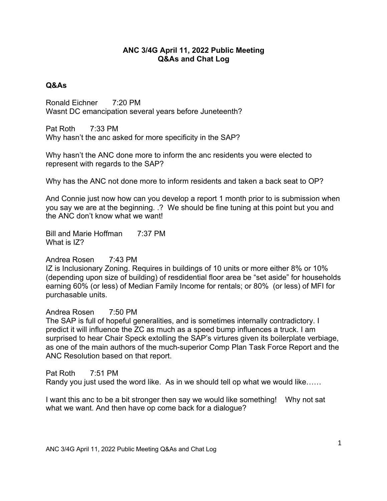## **ANC 3/4G April 11, 2022 Public Meeting Q&As and Chat Log**

## **Q&As**

Ronald Eichner 7:20 PM Wasnt DC emancipation several years before Juneteenth?

Pat Roth 7:33 PM Why hasn't the anc asked for more specificity in the SAP?

Why hasn't the ANC done more to inform the anc residents you were elected to represent with regards to the SAP?

Why has the ANC not done more to inform residents and taken a back seat to OP?

And Connie just now how can you develop a report 1 month prior to is submission when you say we are at the beginning. .? We should be fine tuning at this point but you and the ANC don't know what we want!

Bill and Marie Hoffman 7:37 PM What is IZ?

## Andrea Rosen 7:43 PM

IZ is Inclusionary Zoning. Requires in buildings of 10 units or more either 8% or 10% (depending upon size of building) of resdidential floor area be "set aside" for households earning 60% (or less) of Median Family Income for rentals; or 80% (or less) of MFI for purchasable units.

## Andrea Rosen 7:50 PM

The SAP is full of hopeful generalities, and is sometimes internally contradictory. I predict it will influence the ZC as much as a speed bump influences a truck. I am surprised to hear Chair Speck extolling the SAP's virtures given its boilerplate verbiage, as one of the main authors of the much-superior Comp Plan Task Force Report and the ANC Resolution based on that report.

Pat Roth 7:51 PM

Randy you just used the word like. As in we should tell op what we would like……

I want this anc to be a bit stronger then say we would like something! Why not sat what we want. And then have op come back for a dialogue?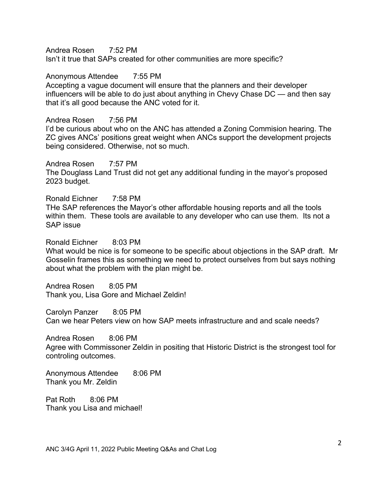Andrea Rosen 7:52 PM

Isn't it true that SAPs created for other communities are more specific?

Anonymous Attendee 7:55 PM Accepting a vague document will ensure that the planners and their developer influencers will be able to do just about anything in Chevy Chase DC — and then say that it's all good because the ANC voted for it.

Andrea Rosen 7:56 PM I'd be curious about who on the ANC has attended a Zoning Commision hearing. The ZC gives ANCs' positions great weight when ANCs support the development projects being considered. Otherwise, not so much.

Andrea Rosen 7:57 PM The Douglass Land Trust did not get any additional funding in the mayor's proposed 2023 budget.

Ronald Eichner 7:58 PM THe SAP references the Mayor's other affordable housing reports and all the tools within them. These tools are available to any developer who can use them. Its not a SAP issue

Ronald Eichner 8:03 PM What would be nice is for someone to be specific about objections in the SAP draft. Mr Gosselin frames this as something we need to protect ourselves from but says nothing about what the problem with the plan might be.

Andrea Rosen 8:05 PM Thank you, Lisa Gore and Michael Zeldin!

Carolyn Panzer 8:05 PM Can we hear Peters view on how SAP meets infrastructure and and scale needs?

Andrea Rosen 8:06 PM Agree with Commissoner Zeldin in positing that Historic District is the strongest tool for controling outcomes.

Anonymous Attendee 8:06 PM Thank you Mr. Zeldin

Pat Roth 8:06 PM Thank you Lisa and michael!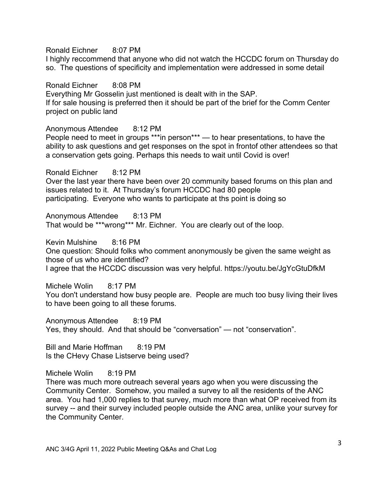Ronald Eichner 8:07 PM

I highly reccommend that anyone who did not watch the HCCDC forum on Thursday do so. The questions of specificity and implementation were addressed in some detail

Ronald Eichner 8:08 PM Everything Mr Gosselin just mentioned is dealt with in the SAP. If for sale housing is preferred then it should be part of the brief for the Comm Center project on public land

Anonymous Attendee 8:12 PM People need to meet in groups \*\*\*in person\*\*\* — to hear presentations, to have the ability to ask questions and get responses on the spot in frontof other attendees so that a conservation gets going. Perhaps this needs to wait until Covid is over!

Ronald Eichner 8:12 PM Over the last year there have been over 20 community based forums on this plan and issues related to it. At Thursday's forum HCCDC had 80 people participating. Everyone who wants to participate at ths point is doing so

Anonymous Attendee 8:13 PM That would be \*\*\*wrong\*\*\* Mr. Eichner. You are clearly out of the loop.

Kevin Mulshine 8:16 PM One question: Should folks who comment anonymously be given the same weight as those of us who are identified? I agree that the HCCDC discussion was very helpful. https://youtu.be/JgYcGtuDfkM

Michele Wolin 8:17 PM You don't understand how busy people are. People are much too busy living their lives to have been going to all these forums.

Anonymous Attendee 8:19 PM Yes, they should. And that should be "conversation" — not "conservation".

Bill and Marie Hoffman 8:19 PM Is the CHevy Chase Listserve being used?

Michele Wolin 8:19 PM

There was much more outreach several years ago when you were discussing the Community Center. Somehow, you mailed a survey to all the residents of the ANC area. You had 1,000 replies to that survey, much more than what OP received from its survey -- and their survey included people outside the ANC area, unlike your survey for the Community Center.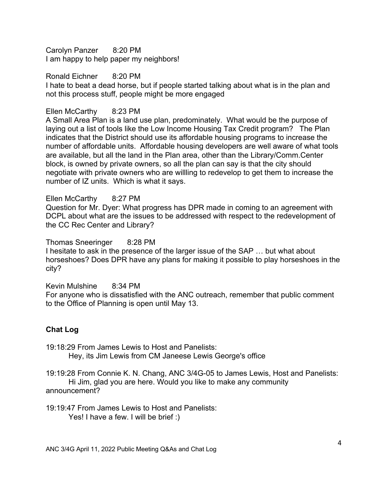Carolyn Panzer 8:20 PM I am happy to help paper my neighbors!

Ronald Eichner 8:20 PM I hate to beat a dead horse, but if people started talking about what is in the plan and not this process stuff, people might be more engaged

# Ellen McCarthy 8:23 PM

A Small Area Plan is a land use plan, predominately. What would be the purpose of laying out a list of tools like the Low Income Housing Tax Credit program? The Plan indicates that the District should use its affordable housing programs to increase the number of affordable units. Affordable housing developers are well aware of what tools are available, but all the land in the Plan area, other than the Library/Comm.Center block, is owned by private owners, so all the plan can say is that the city should negotiate with private owners who are willling to redevelop to get them to increase the number of IZ units. Which is what it says.

## Ellen McCarthy 8:27 PM

Question for Mr. Dyer: What progress has DPR made in coming to an agreement with DCPL about what are the issues to be addressed with respect to the redevelopment of the CC Rec Center and Library?

Thomas Sneeringer 8:28 PM I hesitate to ask in the presence of the larger issue of the SAP … but what about horseshoes? Does DPR have any plans for making it possible to play horseshoes in the city?

Kevin Mulshine 8:34 PM

For anyone who is dissatisfied with the ANC outreach, remember that public comment to the Office of Planning is open until May 13.

## **Chat Log**

19:18:29 From James Lewis to Host and Panelists:

Hey, its Jim Lewis from CM Janeese Lewis George's office

19:19:28 From Connie K. N. Chang, ANC 3/4G-05 to James Lewis, Host and Panelists: Hi Jim, glad you are here. Would you like to make any community announcement?

19:19:47 From James Lewis to Host and Panelists: Yes! I have a few. I will be brief :)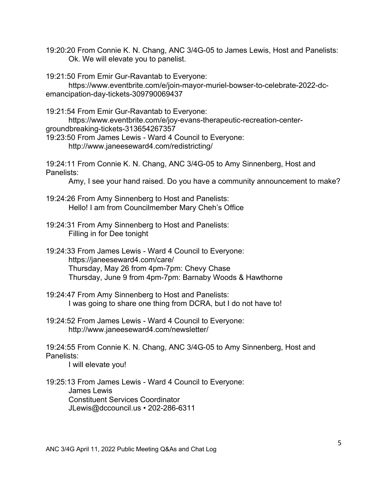19:20:20 From Connie K. N. Chang, ANC 3/4G-05 to James Lewis, Host and Panelists: Ok. We will elevate you to panelist.

19:21:50 From Emir Gur-Ravantab to Everyone:

https://www.eventbrite.com/e/join-mayor-muriel-bowser-to-celebrate-2022-dcemancipation-day-tickets-309790069437

19:21:54 From Emir Gur-Ravantab to Everyone:

https://www.eventbrite.com/e/joy-evans-therapeutic-recreation-centergroundbreaking-tickets-313654267357

19:23:50 From James Lewis - Ward 4 Council to Everyone: http://www.janeeseward4.com/redistricting/

19:24:11 From Connie K. N. Chang, ANC 3/4G-05 to Amy Sinnenberg, Host and Panelists:

Amy, I see your hand raised. Do you have a community announcement to make?

- 19:24:26 From Amy Sinnenberg to Host and Panelists: Hello! I am from Councilmember Mary Cheh's Office
- 19:24:31 From Amy Sinnenberg to Host and Panelists: Filling in for Dee tonight
- 19:24:33 From James Lewis Ward 4 Council to Everyone: https://janeeseward4.com/care/ Thursday, May 26 from 4pm-7pm: Chevy Chase Thursday, June 9 from 4pm-7pm: Barnaby Woods & Hawthorne
- 19:24:47 From Amy Sinnenberg to Host and Panelists: I was going to share one thing from DCRA, but I do not have to!
- 19:24:52 From James Lewis Ward 4 Council to Everyone: http://www.janeeseward4.com/newsletter/

19:24:55 From Connie K. N. Chang, ANC 3/4G-05 to Amy Sinnenberg, Host and Panelists:

I will elevate you!

19:25:13 From James Lewis - Ward 4 Council to Everyone: James Lewis Constituent Services Coordinator JLewis@dccouncil.us • 202-286-6311

ANC 3/4G April 11, 2022 Public Meeting Q&As and Chat Log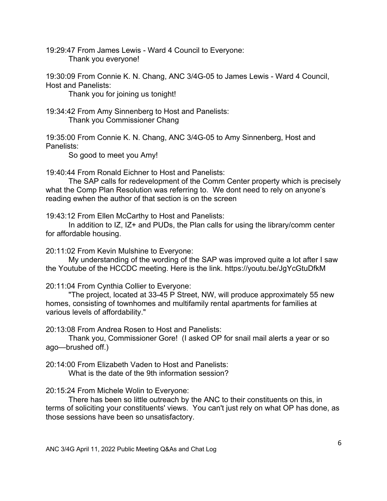19:29:47 From James Lewis - Ward 4 Council to Everyone: Thank you everyone!

19:30:09 From Connie K. N. Chang, ANC 3/4G-05 to James Lewis - Ward 4 Council, Host and Panelists:

Thank you for joining us tonight!

19:34:42 From Amy Sinnenberg to Host and Panelists: Thank you Commissioner Chang

19:35:00 From Connie K. N. Chang, ANC 3/4G-05 to Amy Sinnenberg, Host and Panelists:

So good to meet you Amy!

19:40:44 From Ronald Eichner to Host and Panelists:

The SAP calls for redevelopment of the Comm Center property which is precisely what the Comp Plan Resolution was referring to. We dont need to rely on anyone's reading ewhen the author of that section is on the screen

19:43:12 From Ellen McCarthy to Host and Panelists:

In addition to IZ, IZ+ and PUDs, the Plan calls for using the library/comm center for affordable housing.

20:11:02 From Kevin Mulshine to Everyone:

My understanding of the wording of the SAP was improved quite a lot after I saw the Youtube of the HCCDC meeting. Here is the link. https://youtu.be/JgYcGtuDfkM

20:11:04 From Cynthia Collier to Everyone:

"The project, located at 33-45 P Street, NW, will produce approximately 55 new homes, consisting of townhomes and multifamily rental apartments for families at various levels of affordability."

20:13:08 From Andrea Rosen to Host and Panelists:

Thank you, Commissioner Gore! (I asked OP for snail mail alerts a year or so ago—brushed off.)

20:14:00 From Elizabeth Vaden to Host and Panelists: What is the date of the 9th information session?

#### 20:15:24 From Michele Wolin to Everyone:

There has been so little outreach by the ANC to their constituents on this, in terms of soliciting your constituents' views. You can't just rely on what OP has done, as those sessions have been so unsatisfactory.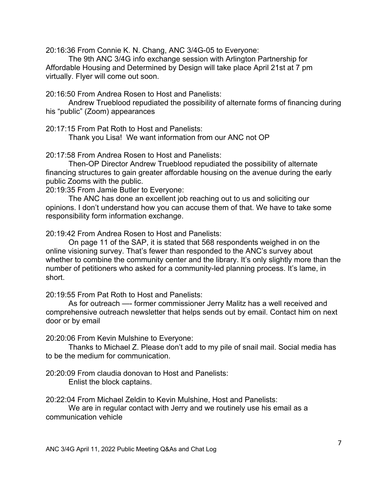20:16:36 From Connie K. N. Chang, ANC 3/4G-05 to Everyone:

The 9th ANC 3/4G info exchange session with Arlington Partnership for Affordable Housing and Determined by Design will take place April 21st at 7 pm virtually. Flyer will come out soon.

20:16:50 From Andrea Rosen to Host and Panelists:

Andrew Trueblood repudiated the possibility of alternate forms of financing during his "public" (Zoom) appearances

20:17:15 From Pat Roth to Host and Panelists:

Thank you Lisa! We want information from our ANC not OP

20:17:58 From Andrea Rosen to Host and Panelists:

Then-OP Director Andrew Trueblood repudiated the possibility of alternate financing structures to gain greater affordable housing on the avenue during the early public Zooms with the public.

20:19:35 From Jamie Butler to Everyone:

The ANC has done an excellent job reaching out to us and soliciting our opinions. I don't understand how you can accuse them of that. We have to take some responsibility form information exchange.

20:19:42 From Andrea Rosen to Host and Panelists:

On page 11 of the SAP, it is stated that 568 respondents weighed in on the online visioning survey. That's fewer than responded to the ANC's survey about whether to combine the community center and the library. It's only slightly more than the number of petitioners who asked for a community-led planning process. It's lame, in short.

20:19:55 From Pat Roth to Host and Panelists:

As for outreach —- former commissioner Jerry Malitz has a well received and comprehensive outreach newsletter that helps sends out by email. Contact him on next door or by email

20:20:06 From Kevin Mulshine to Everyone:

Thanks to Michael Z. Please don't add to my pile of snail mail. Social media has to be the medium for communication.

20:20:09 From claudia donovan to Host and Panelists: Enlist the block captains.

20:22:04 From Michael Zeldin to Kevin Mulshine, Host and Panelists:

We are in regular contact with Jerry and we routinely use his email as a communication vehicle